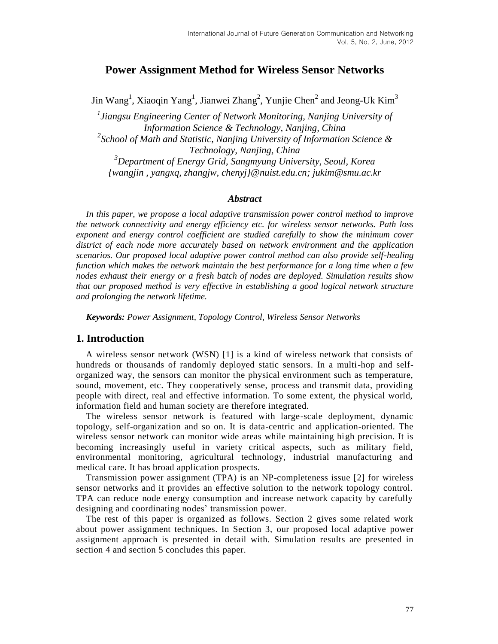# **Power Assignment Method for Wireless Sensor Networks**

Jin Wang<sup>1</sup>, Xiaoqin Yang<sup>1</sup>, Jianwei Zhang<sup>2</sup>, Yunjie Chen<sup>2</sup> and Jeong-Uk Kim<sup>3</sup>

*1 Jiangsu Engineering Center of Network Monitoring, Nanjing University of Information Science & Technology, Nanjing, China 2 School of Math and Statistic, Nanjing University of Information Science & Technology, Nanjing, China <sup>3</sup>Department of Energy Grid, Sangmyung University, Seoul, Korea {wangjin , yangxq, zhangjw, chenyj}@nuist.edu.cn; jukim@smu.ac.kr*

#### *Abstract*

*In this paper, we propose a local adaptive transmission power control method to improve the network connectivity and energy efficiency etc. for wireless sensor networks. Path loss exponent and energy control coefficient are studied carefully to show the minimum cover district of each node more accurately based on network environment and the application scenarios. Our proposed local adaptive power control method can also provide self-healing function which makes the network maintain the best performance for a long time when a few nodes exhaust their energy or a fresh batch of nodes are deployed. Simulation results show that our proposed method is very effective in establishing a good logical network structure and prolonging the network lifetime.*

*Keywords: Power Assignment, Topology Control, Wireless Sensor Networks*

#### **1. Introduction**

A wireless sensor network (WSN) [1] is a kind of wireless network that consists of hundreds or thousands of randomly deployed static sensors. In a multi-hop and selforganized way, the sensors can monitor the physical environment such as temperature, sound, movement, etc. They cooperatively sense, process and transmit data, providing people with direct, real and effective information. To some extent, the physical world, information field and human society are therefore integrated.

The wireless sensor network is featured with large-scale deployment, dynamic topology, self-organization and so on. It is data-centric and application-oriented. The wireless sensor network can monitor wide areas while maintaining high precision. It is becoming increasingly useful in variety critical aspects, such as military field, environmental monitoring, agricultural technology, industrial manufacturing and medical care. It has broad application prospects.

Transmission power assignment (TPA) is an NP-completeness issue [2] for wireless sensor networks and it provides an effective solution to the network topology control. TPA can reduce node energy consumption and increase network capacity by carefully designing and coordinating nodes' transmission power.

The rest of this paper is organized as follows. Section 2 gives some related work about power assignment techniques. In Section 3, our proposed local adaptive power assignment approach is presented in detail with. Simulation results are presented in section 4 and section 5 concludes this paper.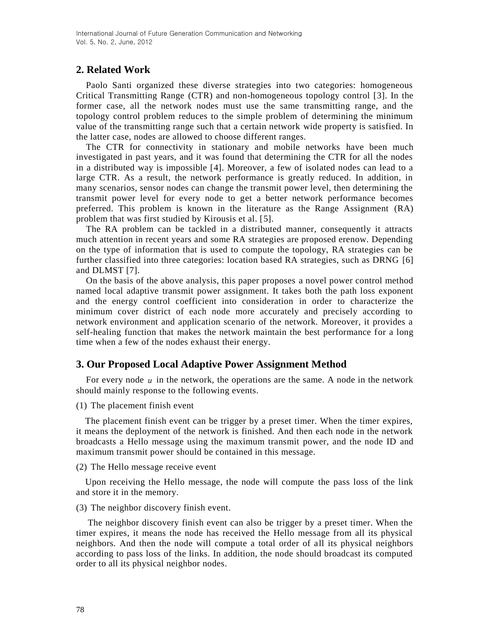# **2. Related Work**

Paolo Santi organized these diverse strategies into two categories: homogeneous Critical Transmitting Range (CTR) and non-homogeneous topology control [3]. In the former case, all the network nodes must use the same transmitting range, and the topology control problem reduces to the simple problem of determining the minimum value of the transmitting range such that a certain network wide property is satisfied. In the latter case, nodes are allowed to choose different ranges.

The CTR for connectivity in stationary and mobile networks have been much investigated in past years, and it was found that determining the CTR for all the nodes in a distributed way is impossible [4]. Moreover, a few of isolated nodes can lead to a large CTR. As a result, the network performance is greatly reduced. In addition, in many scenarios, sensor nodes can change the transmit power level, then determining the transmit power level for every node to get a better network performance becomes preferred. This problem is known in the literature as the Range Assignment (RA) problem that was first studied by Kirousis et al. [5].

The RA problem can be tackled in a distributed manner, consequently it attracts much attention in recent years and some RA strategies are proposed erenow. Depending on the type of information that is used to compute the topology, RA strategies can be further classified into three categories: location based RA strategies, such as DRNG [6] and DLMST [7].

On the basis of the above analysis, this paper proposes a novel power control method named local adaptive transmit power assignment. It takes both the path loss exponent and the energy control coefficient into consideration in order to characterize the minimum cover district of each node more accurately and precisely according to network environment and application scenario of the network. Moreover, it provides a self-healing function that makes the network maintain the best performance for a long time when a few of the nodes exhaust their energy.

# **3. Our Proposed Local Adaptive Power Assignment Method**

For every node u in the network, the operations are the same. A node in the network should mainly response to the following events.

(1) The placement finish event

The placement finish event can be trigger by a preset timer. When the timer expires, it means the deployment of the network is finished. And then each node in the network broadcasts a Hello message using the maximum transmit power, and the node ID and maximum transmit power should be contained in this message.

(2) The Hello message receive event

Upon receiving the Hello message, the node will compute the pass loss of the link and store it in the memory.

(3) The neighbor discovery finish event.

The neighbor discovery finish event can also be trigger by a preset timer. When the timer expires, it means the node has received the Hello message from all its physical neighbors. And then the node will compute a total order of all its physical neighbors according to pass loss of the links. In addition, the node should broadcast its computed order to all its physical neighbor nodes.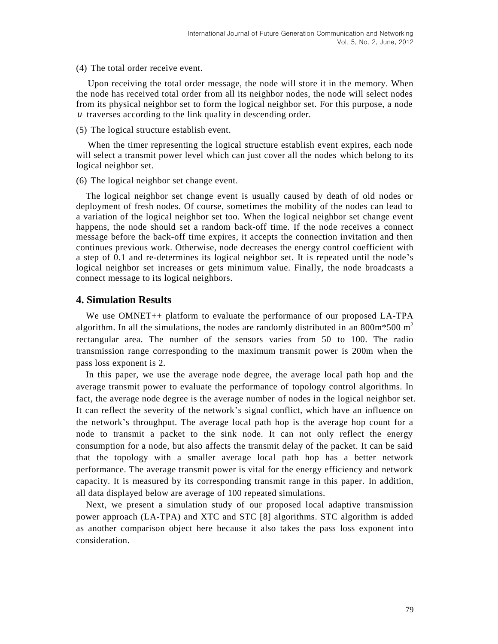(4) The total order receive event.

Upon receiving the total order message, the node will store it in the memory. When the node has received total order from all its neighbor nodes, the node will select nodes from its physical neighbor set to form the logical neighbor set. For this purpose, a node *u* traverses according to the link quality in descending order.

(5) The logical structure establish event.

When the timer representing the logical structure establish event expires, each node will select a transmit power level which can just cover all the nodes which belong to its logical neighbor set.

(6) The logical neighbor set change event.

The logical neighbor set change event is usually caused by death of old nodes or deployment of fresh nodes. Of course, sometimes the mobility of the nodes can lead to a variation of the logical neighbor set too. When the logical neighbor set change event happens, the node should set a random back-off time. If the node receives a connect message before the back-off time expires, it accepts the connection invitation and then continues previous work. Otherwise, node decreases the energy control coefficient with a step of 0.1 and re-determines its logical neighbor set. It is repeated until the node's logical neighbor set increases or gets minimum value. Finally, the node broadcasts a connect message to its logical neighbors.

# **4. Simulation Results**

We use OMNET++ platform to evaluate the performance of our proposed LA-TPA algorithm. In all the simulations, the nodes are randomly distributed in an 800m\*500 m<sup>2</sup> rectangular area. The number of the sensors varies from 50 to 100. The radio transmission range corresponding to the maximum transmit power is 200m when the pass loss exponent is 2.

In this paper, we use the average node degree, the average local path hop and the average transmit power to evaluate the performance of topology control algorithms. In fact, the average node degree is the average number of nodes in the logical neighbor set. It can reflect the severity of the network's signal conflict, which have an influence on the network's throughput. The average local path hop is the average hop count for a node to transmit a packet to the sink node. It can not only reflect the energy consumption for a node, but also affects the transmit delay of the packet. It can be said that the topology with a smaller average local path hop has a better network performance. The average transmit power is vital for the energy efficiency and network capacity. It is measured by its corresponding transmit range in this paper. In addition, all data displayed below are average of 100 repeated simulations.

Next, we present a simulation study of our proposed local adaptive transmission power approach (LA-TPA) and XTC and STC [8] algorithms. STC algorithm is added as another comparison object here because it also takes the pass loss exponent into consideration.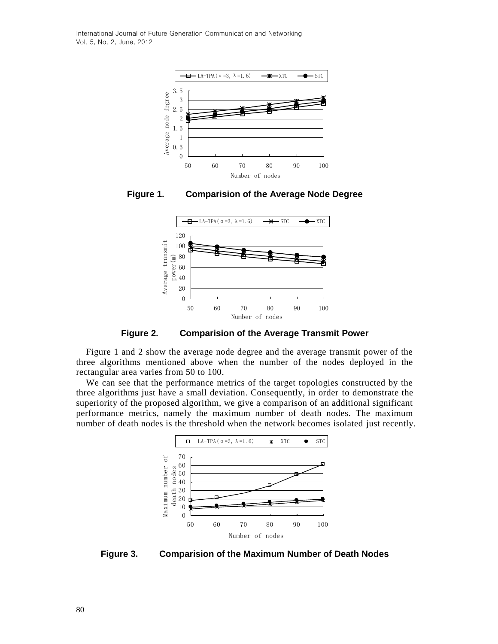International Journal of Future Generation Communication and Networking Vol. 5, No. 2, June, 2012







**Figure 2. Comparision of the Average Transmit Power**

Figure 1 and 2 show the average node degree and the average transmit power of the three algorithms mentioned above when the number of the nodes deployed in the rectangular area varies from 50 to 100.

We can see that the performance metrics of the target topologies constructed by the three algorithms just have a small deviation. Consequently, in order to demonstrate the superiority of the proposed algorithm, we give a comparison of an additional significant performance metrics, namely the maximum number of death nodes. The maximum number of death nodes is the threshold when the network becomes isolated just recently.



**Figure 3. Comparision of the Maximum Number of Death Nodes**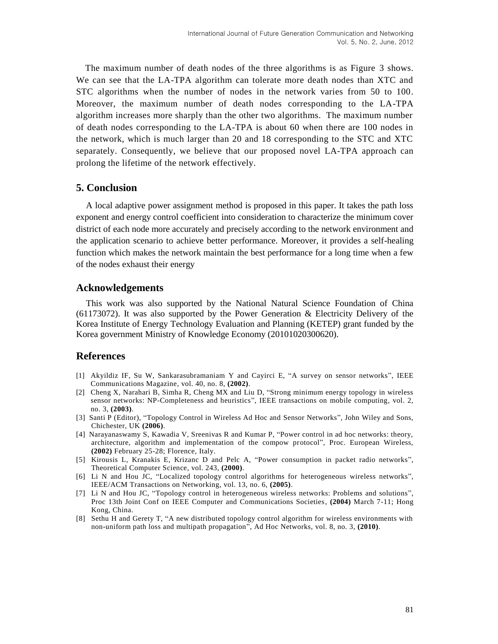The maximum number of death nodes of the three algorithms is as Figure 3 shows. We can see that the LA-TPA algorithm can tolerate more death nodes than XTC and STC algorithms when the number of nodes in the network varies from 50 to 100. Moreover, the maximum number of death nodes corresponding to the LA-TPA algorithm increases more sharply than the other two algorithms. The maximum number of death nodes corresponding to the LA-TPA is about 60 when there are 100 nodes in the network, which is much larger than 20 and 18 corresponding to the STC and XTC separately. Consequently, we believe that our proposed novel LA-TPA approach can prolong the lifetime of the network effectively.

### **5. Conclusion**

A local adaptive power assignment method is proposed in this paper. It takes the path loss exponent and energy control coefficient into consideration to characterize the minimum cover district of each node more accurately and precisely according to the network environment and the application scenario to achieve better performance. Moreover, it provides a self-healing function which makes the network maintain the best performance for a long time when a few of the nodes exhaust their energy

#### **Acknowledgements**

This work was also supported by the National Natural Science Foundation of China (61173072). It was also supported by the Power Generation & Electricity Delivery of the Korea Institute of Energy Technology Evaluation and Planning (KETEP) grant funded by the Korea government Ministry of Knowledge Economy (20101020300620).

#### **References**

- [1] Akyildiz IF, Su W, Sankarasubramaniam Y and Cayirci E, "A survey on sensor networks", IEEE Communications Magazine, vol. 40, no. 8, **(2002)**.
- [2] Cheng X, Narahari B, Simha R, Cheng MX and Liu D, "Strong minimum energy topology in wireless sensor networks: NP-Completeness and heuristics", IEEE transactions on mobile computing, vol. 2, no. 3, **(2003)**.
- [3] Santi P (Editor), "Topology Control in Wireless Ad Hoc and Sensor Networks", John Wiley and Sons, Chichester, UK **(2006)**.
- [4] Narayanaswamy S, Kawadia V, Sreenivas R and Kumar P, "Power control in ad hoc networks: theory, architecture, algorithm and implementation of the compow protocol", Proc. European Wireless, **(2002)** February 25-28; Florence, Italy.
- [5] Kirousis L, Kranakis E, Krizanc D and Pelc A, "Power consumption in packet radio networks", Theoretical Computer Science, vol. 243, **(2000)**.
- [6] Li N and Hou JC, "Localized topology control algorithms for heterogeneous wireless networks", IEEE/ACM Transactions on Networking, vol. 13, no. 6, **(2005)**.
- [7] Li N and Hou JC, "Topology control in heterogeneous wireless networks: Problems and solutions", Proc 13th Joint Conf on IEEE Computer and Communications Societies, **(2004)** March 7-11; Hong Kong, China.
- [8] Sethu H and Gerety T, "A new distributed topology control algorithm for wireless environments with non-uniform path loss and multipath propagation", Ad Hoc Networks, vol. 8, no. 3, **(2010)**.